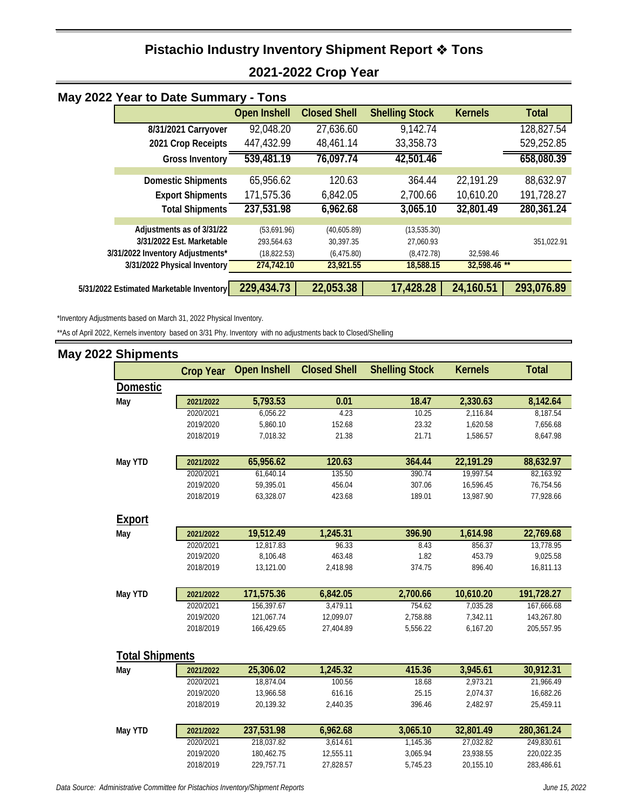### **Pistachio Industry Inventory Shipment Report Tons 2021-2022 Crop Year**

| May 2022 Year to Date Summary - Tons     |                     |                     |                       |                |              |
|------------------------------------------|---------------------|---------------------|-----------------------|----------------|--------------|
|                                          | <b>Open Inshell</b> | <b>Closed Shell</b> | <b>Shelling Stock</b> | <b>Kernels</b> | <b>Total</b> |
| 8/31/2021 Carryover                      | 92,048.20           | 27,636.60           | 9,142.74              |                | 128,827.54   |
| 2021 Crop Receipts                       | 447,432.99          | 48,461.14           | 33,358.73             |                | 529,252.85   |
| <b>Gross Inventory</b>                   | 539,481.19          | 76,097.74           | 42,501.46             |                | 658,080.39   |
|                                          |                     |                     |                       |                |              |
| <b>Domestic Shipments</b>                | 65,956.62           | 120.63              | 364.44                | 22,191.29      | 88,632.97    |
| <b>Export Shipments</b>                  | 171,575.36          | 6,842.05            | 2,700.66              | 10,610.20      | 191,728.27   |
| <b>Total Shipments</b>                   | 237,531.98          | 6,962.68            | 3,065.10              | 32,801.49      | 280,361.24   |
|                                          |                     |                     |                       |                |              |
| Adjustments as of 3/31/22                | (53,691.96)         | (40,605.89)         | (13,535.30)           |                |              |
| 3/31/2022 Est. Marketable                | 293,564.63          | 30,397.35           | 27,060.93             |                | 351,022.91   |
| 3/31/2022 Inventory Adjustments*         | (18, 822.53)        | (6, 475.80)         | (8,472.78)            | 32,598.46      |              |
| 3/31/2022 Physical Inventory             | 274,742.10          | 23,921.55           | 18,588.15             | 32,598.46 **   |              |
|                                          |                     |                     |                       |                |              |
| 5/31/2022 Estimated Marketable Inventory | 229,434.73          | 22,053.38           | 17,428.28             | 24,160.51      | 293,076.89   |

\*Inventory Adjustments based on March 31, 2022 Physical Inventory.

\*\*As of April 2022, Kernels inventory based on 3/31 Phy. Inventory with no adjustments back to Closed/Shelling

#### **May 2022 Shipments**

|                        | <b>Crop Year</b> | <b>Open Inshell</b> | <b>Closed Shell</b> | <b>Shelling Stock</b> | <b>Kernels</b> | <b>Total</b> |
|------------------------|------------------|---------------------|---------------------|-----------------------|----------------|--------------|
| <b>Domestic</b>        |                  |                     |                     |                       |                |              |
| May                    | 2021/2022        | 5,793.53            | 0.01                | 18.47                 | 2,330.63       | 8,142.64     |
|                        | 2020/2021        | 6,056.22            | 4.23                | 10.25                 | 2,116.84       | 8,187.54     |
|                        | 2019/2020        | 5,860.10            | 152.68              | 23.32                 | 1,620.58       | 7,656.68     |
|                        | 2018/2019        | 7,018.32            | 21.38               | 21.71                 | 1,586.57       | 8,647.98     |
| May YTD                | 2021/2022        | 65,956.62           | 120.63              | 364.44                | 22,191.29      | 88,632.97    |
|                        | 2020/2021        | 61,640.14           | 135.50              | 390.74                | 19,997.54      | 82,163.92    |
|                        | 2019/2020        | 59,395.01           | 456.04              | 307.06                | 16,596.45      | 76,754.56    |
|                        | 2018/2019        | 63,328.07           | 423.68              | 189.01                | 13,987.90      | 77,928.66    |
| <u>Export</u>          |                  |                     |                     |                       |                |              |
| May                    | 2021/2022        | 19,512.49           | 1,245.31            | 396.90                | 1,614.98       | 22,769.68    |
|                        | 2020/2021        | 12,817.83           | 96.33               | 8.43                  | 856.37         | 13,778.95    |
|                        | 2019/2020        | 8,106.48            | 463.48              | 1.82                  | 453.79         | 9,025.58     |
|                        | 2018/2019        | 13,121.00           | 2,418.98            | 374.75                | 896.40         | 16,811.13    |
| May YTD                | 2021/2022        | 171,575.36          | 6,842.05            | 2,700.66              | 10,610.20      | 191,728.27   |
|                        | 2020/2021        | 156,397.67          | 3,479.11            | 754.62                | 7,035.28       | 167,666.68   |
|                        | 2019/2020        | 121,067.74          | 12,099.07           | 2,758.88              | 7,342.11       | 143,267.80   |
|                        | 2018/2019        | 166,429.65          | 27,404.89           | 5,556.22              | 6,167.20       | 205,557.95   |
| <b>Total Shipments</b> |                  |                     |                     |                       |                |              |
| May                    | 2021/2022        | 25,306.02           | 1,245.32            | 415.36                | 3,945.61       | 30,912.31    |
|                        | 2020/2021        | 18.874.04           | 100.56              | 18.68                 | 2.973.21       | 21.966.49    |
|                        | 2019/2020        | 13,966.58           | 616.16              | 25.15                 | 2,074.37       | 16,682.26    |
|                        | 2018/2019        | 20,139.32           | 2,440.35            | 396.46                | 2,482.97       | 25,459.11    |
| May YTD                | 2021/2022        | 237,531.98          | 6,962.68            | 3,065.10              | 32,801.49      | 280,361.24   |
|                        | 2020/2021        | 218,037.82          | 3,614.61            | 1,145.36              | 27,032.82      | 249,830.61   |
|                        | 2019/2020        | 180,462.75          | 12,555.11           | 3,065.94              | 23,938.55      | 220,022.35   |

2018/2019 229,757.71 27,828.57 5,745.23 20,155.10 283,486.61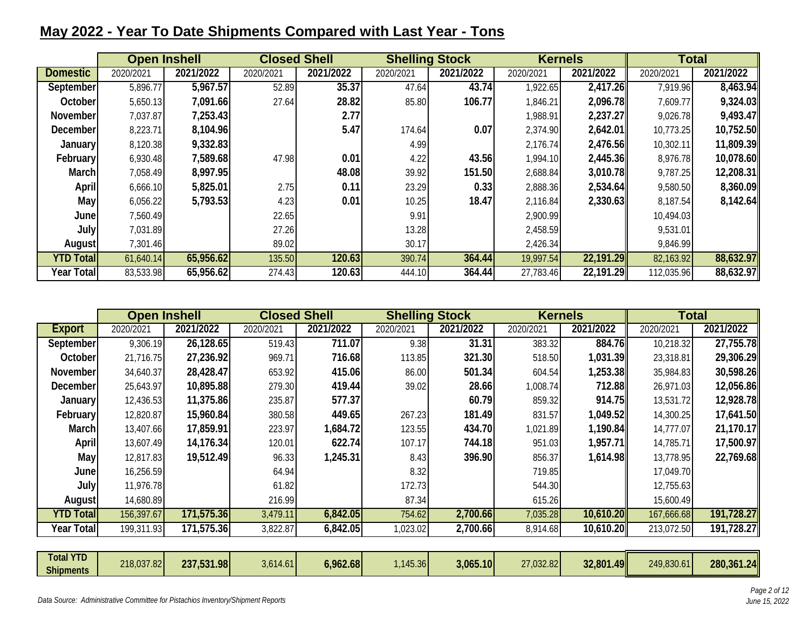### **May 2022 - Year To Date Shipments Compared with Last Year - Tons**

|                   | <b>Open Inshell</b> |           |           | <b>Closed Shell</b> | <b>Shelling Stock</b> |           | <b>Kernels</b> |           | <b>Total</b> |           |
|-------------------|---------------------|-----------|-----------|---------------------|-----------------------|-----------|----------------|-----------|--------------|-----------|
| <b>Domestic</b>   | 2020/2021           | 2021/2022 | 2020/2021 | 2021/2022           | 2020/2021             | 2021/2022 | 2020/2021      | 2021/2022 | 2020/2021    | 2021/2022 |
| September         | 5,896.77            | 5,967.57  | 52.89     | 35.37               | 47.64                 | 43.74     | 1,922.65       | 2,417.26  | 7,919.96     | 8,463.94  |
| October           | 5,650.13            | 7,091.66  | 27.64     | 28.82               | 85.80                 | 106.77    | 1,846.21       | 2,096.78  | 7,609.77     | 9,324.03  |
| November          | 7,037.87            | 7,253.43  |           | 2.77                |                       |           | 1,988.91       | 2,237.27  | 9,026.78     | 9,493.47  |
| December          | 8,223.71            | 8,104.96  |           | 5.47                | 174.64                | 0.07      | 2,374.90       | 2,642.01  | 10,773.25    | 10,752.50 |
| <b>January</b>    | 8,120.38            | 9,332.83  |           |                     | 4.99                  |           | 2,176.74       | 2,476.56  | 10,302.11    | 11,809.39 |
| February          | 6,930.48            | 7,589.68  | 47.98     | 0.01                | 4.22                  | 43.56     | 1,994.10       | 2,445.36  | 8,976.78     | 10,078.60 |
| March             | 7,058.49            | 8,997.95  |           | 48.08               | 39.92                 | 151.50    | 2,688.84       | 3,010.78  | 9,787.25     | 12,208.31 |
| <b>April</b>      | 6,666.10            | 5,825.01  | 2.75      | 0.11                | 23.29                 | 0.33      | 2,888.36       | 2,534.64  | 9,580.50     | 8,360.09  |
| May               | 6,056.22            | 5,793.53  | 4.23      | 0.01                | 10.25                 | 18.47     | 2,116.84       | 2,330.63  | 8,187.54     | 8,142.64  |
| June              | 7,560.49            |           | 22.65     |                     | 9.91                  |           | 2,900.99       |           | 10,494.03    |           |
| July              | 7,031.89            |           | 27.26     |                     | 13.28                 |           | 2,458.59       |           | 9,531.01     |           |
| August            | 7,301.46            |           | 89.02     |                     | 30.17                 |           | 2,426.34       |           | 9.846.99     |           |
| <b>YTD Totall</b> | 61,640.14           | 65,956.62 | 135.50    | 120.63              | 390.74                | 364.44    | 19,997.54      | 22,191.29 | 82,163.92    | 88,632.97 |
| <b>Year Total</b> | 83,533.98           | 65,956.62 | 274.43    | 120.63              | 444.10                | 364.44    | 27,783.46      | 22,191.29 | 112,035.96   | 88,632.97 |

|                  | <b>Open Inshell</b> |                         | <b>Closed Shell</b> |           | <b>Shelling Stock</b> |           | <b>Kernels</b> |           | <b>Total</b> |            |
|------------------|---------------------|-------------------------|---------------------|-----------|-----------------------|-----------|----------------|-----------|--------------|------------|
| <b>Export</b>    | 2020/2021           | 2021/2022               | 2020/2021           | 2021/2022 | 2020/2021             | 2021/2022 | 2020/2021      | 2021/2022 | 2020/2021    | 2021/2022  |
| September        | 9,306.19            | 26,128.65               | 519.43              | 711.07    | 9.38                  | 31.31     | 383.32         | 884.76    | 10,218.32    | 27,755.78  |
| October          | 21,716.75           | 27,236.92               | 969.71              | 716.68    | 113.85                | 321.30    | 518.50         | 1,031.39  | 23,318.81    | 29,306.29  |
| November         | 34,640.37           | 28,428.47               | 653.92              | 415.06    | 86.00                 | 501.34    | 604.54         | 1,253.38  | 35,984.83    | 30,598.26  |
| December         | 25,643.97           | 10,895.88               | 279.30              | 419.44    | 39.02                 | 28.66     | 1,008.74       | 712.88    | 26,971.03    | 12,056.86  |
| January          | 12,436.53           | 11,375.86               | 235.87              | 577.37    |                       | 60.79     | 859.32         | 914.75    | 13,531.72    | 12,928.78  |
| February         | 12,820.87           | 15,960.84               | 380.58              | 449.65    | 267.23                | 181.49    | 831.57         | 1,049.52  | 14,300.25    | 17,641.50  |
| March            | 13,407.66           | 17,859.91               | 223.97              | 1,684.72  | 123.55                | 434.70    | 1,021.89       | 1,190.84  | 14,777.07    | 21,170.17  |
| <b>April</b>     | 13,607.49           | 14,176.34               | 120.01              | 622.74    | 107.17                | 744.18    | 951.03         | 1,957.71  | 14,785.71    | 17,500.97  |
| May              | 12,817.83           | 19,512.49               | 96.33               | 1,245.31  | 8.43                  | 396.90    | 856.37         | 1,614.98  | 13,778.95    | 22,769.68  |
| June             | 16,256.59           |                         | 64.94               |           | 8.32                  |           | 719.85         |           | 17,049.70    |            |
| July             | 11,976.78           |                         | 61.82               |           | 172.73                |           | 544.30         |           | 12,755.63    |            |
| August           | 14,680.89           |                         | 216.99              |           | 87.34                 |           | 615.26         |           | 15,600.49    |            |
| <b>YTD Total</b> | 156,397.67          | 171,575.36              | 3,479.11            | 6,842.05  | 754.62                | 2,700.66  | 7,035.28       | 10,610.20 | 167,666.68   | 191,728.27 |
| Year Total       | 199,311.93          | $17\overline{1,575.36}$ | 3,822.87            | 6,842.05  | 1,023.02              | 2,700.66  | 8,914.68       | 10,610.20 | 213,072.50   | 191,728.27 |
|                  |                     |                         |                     |           |                       |           |                |           |              |            |

| <b>Total YTD</b> | 218,037.82 | 237,531.98 |          | 6,962.68 |         | 3,065.10 | 27,032.82 | 32,801.49 | 249,830.61 | 280,361.24 |
|------------------|------------|------------|----------|----------|---------|----------|-----------|-----------|------------|------------|
| <b>Shipments</b> |            |            | 3,614.61 |          | ,145.36 |          |           |           |            |            |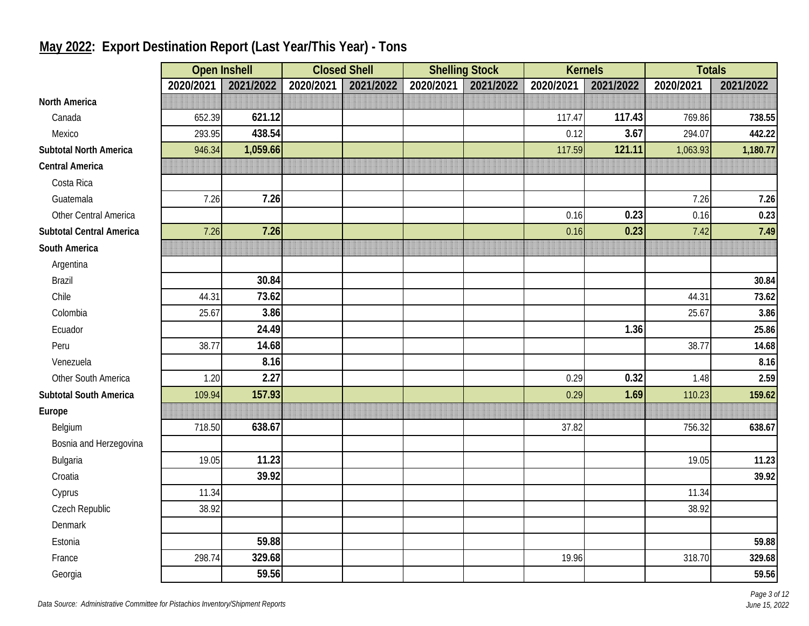|                                 |           | <b>Open Inshell</b> | <b>Closed Shell</b> |           |           | <b>Shelling Stock</b> |           | <b>Kernels</b> | <b>Totals</b> |           |
|---------------------------------|-----------|---------------------|---------------------|-----------|-----------|-----------------------|-----------|----------------|---------------|-----------|
|                                 | 2020/2021 | 2021/2022           | 2020/2021           | 2021/2022 | 2020/2021 | 2021/2022             | 2020/2021 | 2021/2022      | 2020/2021     | 2021/2022 |
| <b>North America</b>            |           |                     |                     |           |           |                       |           |                |               |           |
| Canada                          | 652.39    | 621.12              |                     |           |           |                       | 117.47    | 117.43         | 769.86        | 738.55    |
| Mexico                          | 293.95    | 438.54              |                     |           |           |                       | 0.12      | 3.67           | 294.07        | 442.22    |
| <b>Subtotal North America</b>   | 946.34    | 1,059.66            |                     |           |           |                       | 117.59    | 121.11         | 1,063.93      | 1,180.77  |
| <b>Central America</b>          |           |                     |                     |           |           |                       |           |                |               |           |
| Costa Rica                      |           |                     |                     |           |           |                       |           |                |               |           |
| Guatemala                       | 7.26      | 7.26                |                     |           |           |                       |           |                | 7.26          | 7.26      |
| Other Central America           |           |                     |                     |           |           |                       | 0.16      | 0.23           | 0.16          | 0.23      |
| <b>Subtotal Central America</b> | 7.26      | 7.26                |                     |           |           |                       | 0.16      | 0.23           | 7.42          | 7.49      |
| South America                   |           |                     |                     |           |           |                       |           |                |               |           |
| Argentina                       |           |                     |                     |           |           |                       |           |                |               |           |
| <b>Brazil</b>                   |           | 30.84               |                     |           |           |                       |           |                |               | 30.84     |
| Chile                           | 44.31     | 73.62               |                     |           |           |                       |           |                | 44.31         | 73.62     |
| Colombia                        | 25.67     | 3.86                |                     |           |           |                       |           |                | 25.67         | 3.86      |
| Ecuador                         |           | 24.49               |                     |           |           |                       |           | 1.36           |               | 25.86     |
| Peru                            | 38.77     | 14.68               |                     |           |           |                       |           |                | 38.77         | 14.68     |
| Venezuela                       |           | 8.16                |                     |           |           |                       |           |                |               | 8.16      |
| Other South America             | 1.20      | 2.27                |                     |           |           |                       | 0.29      | 0.32           | 1.48          | 2.59      |
| <b>Subtotal South America</b>   | 109.94    | 157.93              |                     |           |           |                       | 0.29      | 1.69           | 110.23        | 159.62    |
| Europe                          |           |                     |                     |           |           |                       |           |                |               |           |
| Belgium                         | 718.50    | 638.67              |                     |           |           |                       | 37.82     |                | 756.32        | 638.67    |
| Bosnia and Herzegovina          |           |                     |                     |           |           |                       |           |                |               |           |
| Bulgaria                        | 19.05     | 11.23               |                     |           |           |                       |           |                | 19.05         | 11.23     |
| Croatia                         |           | 39.92               |                     |           |           |                       |           |                |               | 39.92     |
| Cyprus                          | 11.34     |                     |                     |           |           |                       |           |                | 11.34         |           |
| Czech Republic                  | 38.92     |                     |                     |           |           |                       |           |                | 38.92         |           |
| Denmark                         |           |                     |                     |           |           |                       |           |                |               |           |
| Estonia                         |           | 59.88               |                     |           |           |                       |           |                |               | 59.88     |
| France                          | 298.74    | 329.68              |                     |           |           |                       | 19.96     |                | 318.70        | 329.68    |
| Georgia                         |           | 59.56               |                     |           |           |                       |           |                |               | 59.56     |

# **May 2022: Export Destination Report (Last Year/This Year) - Tons**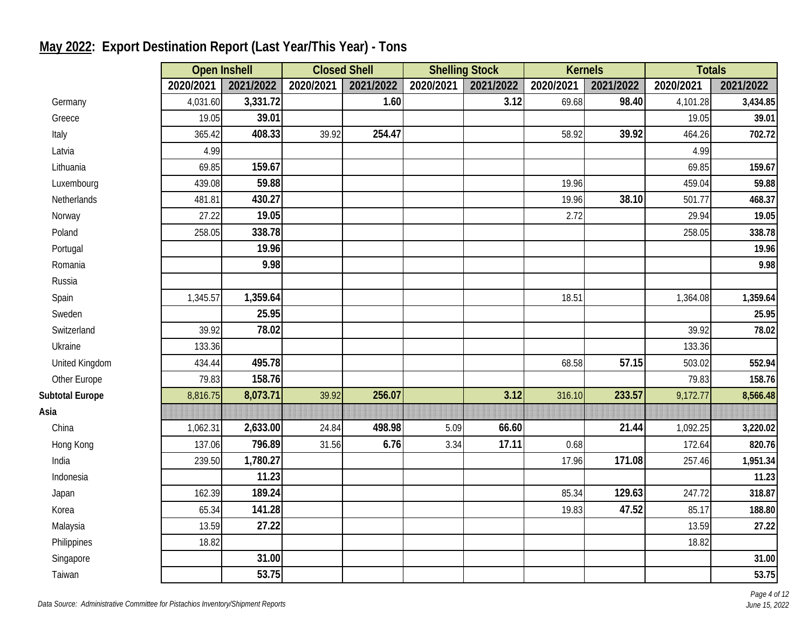|                        |           | <b>Open Inshell</b> |           | <b>Closed Shell</b> |           | <b>Shelling Stock</b> |           | <b>Kernels</b> | <b>Totals</b> |           |
|------------------------|-----------|---------------------|-----------|---------------------|-----------|-----------------------|-----------|----------------|---------------|-----------|
|                        | 2020/2021 | 2021/2022           | 2020/2021 | 2021/2022           | 2020/2021 | 2021/2022             | 2020/2021 | 2021/2022      | 2020/2021     | 2021/2022 |
| Germany                | 4,031.60  | 3,331.72            |           | 1.60                |           | 3.12                  | 69.68     | 98.40          | 4,101.28      | 3,434.85  |
| Greece                 | 19.05     | 39.01               |           |                     |           |                       |           |                | 19.05         | 39.01     |
| Italy                  | 365.42    | 408.33              | 39.92     | 254.47              |           |                       | 58.92     | 39.92          | 464.26        | 702.72    |
| Latvia                 | 4.99      |                     |           |                     |           |                       |           |                | 4.99          |           |
| Lithuania              | 69.85     | 159.67              |           |                     |           |                       |           |                | 69.85         | 159.67    |
| Luxembourg             | 439.08    | 59.88               |           |                     |           |                       | 19.96     |                | 459.04        | 59.88     |
| Netherlands            | 481.81    | 430.27              |           |                     |           |                       | 19.96     | 38.10          | 501.77        | 468.37    |
| Norway                 | 27.22     | 19.05               |           |                     |           |                       | 2.72      |                | 29.94         | 19.05     |
| Poland                 | 258.05    | 338.78              |           |                     |           |                       |           |                | 258.05        | 338.78    |
| Portugal               |           | 19.96               |           |                     |           |                       |           |                |               | 19.96     |
| Romania                |           | 9.98                |           |                     |           |                       |           |                |               | 9.98      |
| Russia                 |           |                     |           |                     |           |                       |           |                |               |           |
| Spain                  | 1,345.57  | 1,359.64            |           |                     |           |                       | 18.51     |                | 1,364.08      | 1,359.64  |
| Sweden                 |           | 25.95               |           |                     |           |                       |           |                |               | 25.95     |
| Switzerland            | 39.92     | 78.02               |           |                     |           |                       |           |                | 39.92         | 78.02     |
| Ukraine                | 133.36    |                     |           |                     |           |                       |           |                | 133.36        |           |
| United Kingdom         | 434.44    | 495.78              |           |                     |           |                       | 68.58     | 57.15          | 503.02        | 552.94    |
| Other Europe           | 79.83     | 158.76              |           |                     |           |                       |           |                | 79.83         | 158.76    |
| <b>Subtotal Europe</b> | 8,816.75  | 8,073.71            | 39.92     | 256.07              |           | 3.12                  | 316.10    | 233.57         | 9,172.77      | 8,566.48  |
| Asia                   |           |                     |           |                     |           |                       |           |                |               |           |
| China                  | 1,062.31  | 2,633.00            | 24.84     | 498.98              | 5.09      | 66.60                 |           | 21.44          | 1,092.25      | 3,220.02  |
| Hong Kong              | 137.06    | 796.89              | 31.56     | 6.76                | 3.34      | 17.11                 | 0.68      |                | 172.64        | 820.76    |
| India                  | 239.50    | 1,780.27            |           |                     |           |                       | 17.96     | 171.08         | 257.46        | 1,951.34  |
| Indonesia              |           | 11.23               |           |                     |           |                       |           |                |               | 11.23     |
| Japan                  | 162.39    | 189.24              |           |                     |           |                       | 85.34     | 129.63         | 247.72        | 318.87    |
| Korea                  | 65.34     | 141.28              |           |                     |           |                       | 19.83     | 47.52          | 85.17         | 188.80    |
| Malaysia               | 13.59     | 27.22               |           |                     |           |                       |           |                | 13.59         | 27.22     |
| Philippines            | 18.82     |                     |           |                     |           |                       |           |                | 18.82         |           |
| Singapore              |           | 31.00               |           |                     |           |                       |           |                |               | 31.00     |
| Taiwan                 |           | $\overline{53.75}$  |           |                     |           |                       |           |                |               | 53.75     |

# **May 2022: Export Destination Report (Last Year/This Year) - Tons**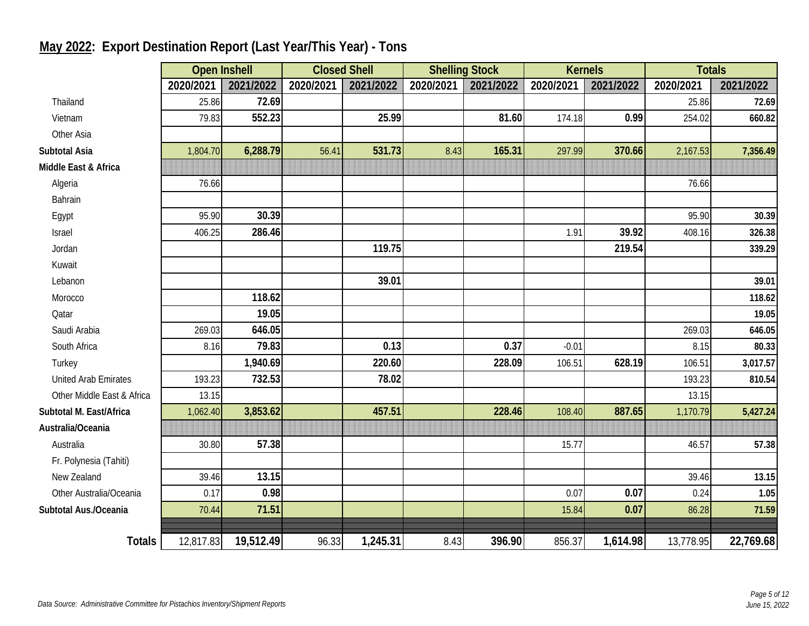|                             |           | <b>Open Inshell</b> | <b>Closed Shell</b> |           | <b>Shelling Stock</b> |           | <b>Kernels</b> |           | <b>Totals</b> |           |
|-----------------------------|-----------|---------------------|---------------------|-----------|-----------------------|-----------|----------------|-----------|---------------|-----------|
|                             | 2020/2021 | 2021/2022           | 2020/2021           | 2021/2022 | 2020/2021             | 2021/2022 | 2020/2021      | 2021/2022 | 2020/2021     | 2021/2022 |
| Thailand                    | 25.86     | 72.69               |                     |           |                       |           |                |           | 25.86         | 72.69     |
| Vietnam                     | 79.83     | 552.23              |                     | 25.99     |                       | 81.60     | 174.18         | 0.99      | 254.02        | 660.82    |
| Other Asia                  |           |                     |                     |           |                       |           |                |           |               |           |
| Subtotal Asia               | 1,804.70  | 6,288.79            | 56.41               | 531.73    | 8.43                  | 165.31    | 297.99         | 370.66    | 2,167.53      | 7,356.49  |
| Middle East & Africa        |           |                     |                     |           |                       |           |                |           |               |           |
| Algeria                     | 76.66     |                     |                     |           |                       |           |                |           | 76.66         |           |
| Bahrain                     |           |                     |                     |           |                       |           |                |           |               |           |
| Egypt                       | 95.90     | 30.39               |                     |           |                       |           |                |           | 95.90         | 30.39     |
| Israel                      | 406.25    | 286.46              |                     |           |                       |           | 1.91           | 39.92     | 408.16        | 326.38    |
| Jordan                      |           |                     |                     | 119.75    |                       |           |                | 219.54    |               | 339.29    |
| Kuwait                      |           |                     |                     |           |                       |           |                |           |               |           |
| Lebanon                     |           |                     |                     | 39.01     |                       |           |                |           |               | 39.01     |
| Morocco                     |           | 118.62              |                     |           |                       |           |                |           |               | 118.62    |
| Qatar                       |           | 19.05               |                     |           |                       |           |                |           |               | 19.05     |
| Saudi Arabia                | 269.03    | 646.05              |                     |           |                       |           |                |           | 269.03        | 646.05    |
| South Africa                | 8.16      | 79.83               |                     | 0.13      |                       | 0.37      | $-0.01$        |           | 8.15          | 80.33     |
| Turkey                      |           | 1,940.69            |                     | 220.60    |                       | 228.09    | 106.51         | 628.19    | 106.51        | 3,017.57  |
| <b>United Arab Emirates</b> | 193.23    | 732.53              |                     | 78.02     |                       |           |                |           | 193.23        | 810.54    |
| Other Middle East & Africa  | 13.15     |                     |                     |           |                       |           |                |           | 13.15         |           |
| Subtotal M. East/Africa     | 1,062.40  | 3,853.62            |                     | 457.51    |                       | 228.46    | 108.40         | 887.65    | 1,170.79      | 5,427.24  |
| Australia/Oceania           |           |                     |                     |           |                       |           |                |           |               |           |
| Australia                   | 30.80     | 57.38               |                     |           |                       |           | 15.77          |           | 46.57         | 57.38     |
| Fr. Polynesia (Tahiti)      |           |                     |                     |           |                       |           |                |           |               |           |
| New Zealand                 | 39.46     | 13.15               |                     |           |                       |           |                |           | 39.46         | 13.15     |
| Other Australia/Oceania     | 0.17      | 0.98                |                     |           |                       |           | 0.07           | 0.07      | 0.24          | 1.05      |
| Subtotal Aus./Oceania       | 70.44     | 71.51               |                     |           |                       |           | 15.84          | 0.07      | 86.28         | 71.59     |
|                             |           |                     |                     |           |                       |           |                |           |               |           |
| <b>Totals</b>               | 12,817.83 | 19,512.49           | 96.33               | 1,245.31  | 8.43                  | 396.90    | 856.37         | 1,614.98  | 13,778.95     | 22,769.68 |

# **May 2022: Export Destination Report (Last Year/This Year) - Tons**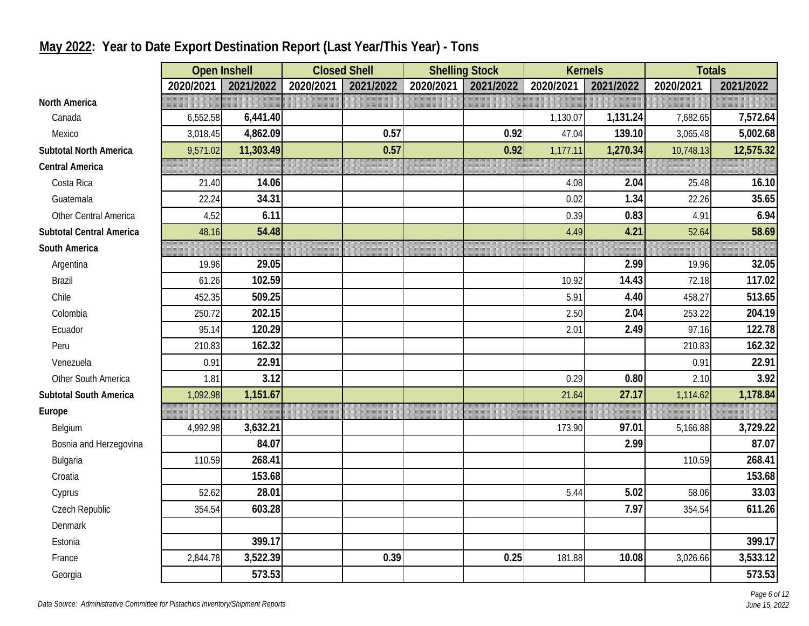|                                 | <b>Open Inshell</b> |           | <b>Closed Shell</b> |           |           | <b>Shelling Stock</b> | <b>Kernels</b> |           | <b>Totals</b> |           |
|---------------------------------|---------------------|-----------|---------------------|-----------|-----------|-----------------------|----------------|-----------|---------------|-----------|
|                                 | 2020/2021           | 2021/2022 | 2020/2021           | 2021/2022 | 2020/2021 | 2021/2022             | 2020/2021      | 2021/2022 | 2020/2021     | 2021/2022 |
| <b>North America</b>            |                     |           |                     |           |           |                       |                |           |               |           |
| Canada                          | 6,552.58            | 6,441.40  |                     |           |           |                       | 1,130.07       | 1,131.24  | 7,682.65      | 7,572.64  |
| Mexico                          | 3,018.45            | 4,862.09  |                     | 0.57      |           | 0.92                  | 47.04          | 139.10    | 3,065.48      | 5,002.68  |
| <b>Subtotal North America</b>   | 9,571.02            | 11,303.49 |                     | 0.57      |           | 0.92                  | 1,177.11       | 1,270.34  | 10,748.13     | 12,575.32 |
| <b>Central America</b>          |                     |           |                     |           |           |                       |                |           |               |           |
| Costa Rica                      | 21.40               | 14.06     |                     |           |           |                       | 4.08           | 2.04      | 25.48         | 16.10     |
| Guatemala                       | 22.24               | 34.31     |                     |           |           |                       | 0.02           | 1.34      | 22.26         | 35.65     |
| Other Central America           | 4.52                | 6.11      |                     |           |           |                       | 0.39           | 0.83      | 4.91          | 6.94      |
| <b>Subtotal Central America</b> | 48.16               | 54.48     |                     |           |           |                       | 4.49           | 4.21      | 52.64         | 58.69     |
| South America                   |                     |           |                     |           |           |                       |                |           |               |           |
| Argentina                       | 19.96               | 29.05     |                     |           |           |                       |                | 2.99      | 19.96         | 32.05     |
| <b>Brazil</b>                   | 61.26               | 102.59    |                     |           |           |                       | 10.92          | 14.43     | 72.18         | 117.02    |
| Chile                           | 452.35              | 509.25    |                     |           |           |                       | 5.91           | 4.40      | 458.27        | 513.65    |
| Colombia                        | 250.72              | 202.15    |                     |           |           |                       | 2.50           | 2.04      | 253.22        | 204.19    |
| Ecuador                         | 95.14               | 120.29    |                     |           |           |                       | 2.01           | 2.49      | 97.16         | 122.78    |
| Peru                            | 210.83              | 162.32    |                     |           |           |                       |                |           | 210.83        | 162.32    |
| Venezuela                       | 0.91                | 22.91     |                     |           |           |                       |                |           | 0.91          | 22.91     |
| Other South America             | 1.81                | 3.12      |                     |           |           |                       | 0.29           | 0.80      | 2.10          | 3.92      |
| <b>Subtotal South America</b>   | 1,092.98            | 1,151.67  |                     |           |           |                       | 21.64          | 27.17     | 1,114.62      | 1,178.84  |
| Europe                          |                     |           |                     |           |           |                       |                |           |               |           |
| Belgium                         | 4,992.98            | 3,632.21  |                     |           |           |                       | 173.90         | 97.01     | 5,166.88      | 3,729.22  |
| Bosnia and Herzegovina          |                     | 84.07     |                     |           |           |                       |                | 2.99      |               | 87.07     |
| Bulgaria                        | 110.59              | 268.41    |                     |           |           |                       |                |           | 110.59        | 268.41    |
| Croatia                         |                     | 153.68    |                     |           |           |                       |                |           |               | 153.68    |
| Cyprus                          | 52.62               | 28.01     |                     |           |           |                       | 5.44           | 5.02      | 58.06         | 33.03     |
| Czech Republic                  | 354.54              | 603.28    |                     |           |           |                       |                | 7.97      | 354.54        | 611.26    |
| Denmark                         |                     |           |                     |           |           |                       |                |           |               |           |
| Estonia                         |                     | 399.17    |                     |           |           |                       |                |           |               | 399.17    |
| France                          | 2,844.78            | 3,522.39  |                     | 0.39      |           | 0.25                  | 181.88         | 10.08     | 3,026.66      | 3,533.12  |
| Georgia                         |                     | 573.53    |                     |           |           |                       |                |           |               | 573.53    |

# **May 2022: Year to Date Export Destination Report (Last Year/This Year) - Tons**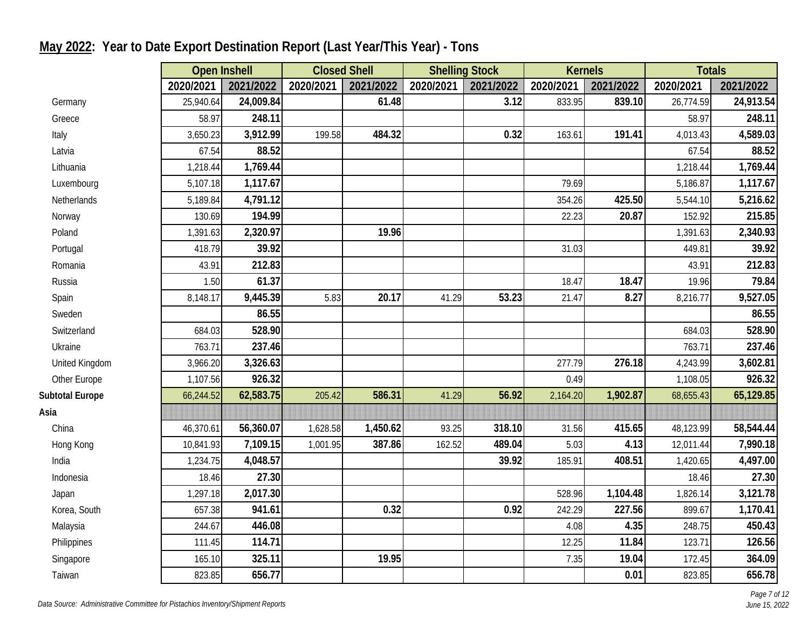|                        |           | <b>Open Inshell</b> | <b>Closed Shell</b> |           | <b>Shelling Stock</b> |           |           | <b>Kernels</b> | <b>Totals</b> |           |
|------------------------|-----------|---------------------|---------------------|-----------|-----------------------|-----------|-----------|----------------|---------------|-----------|
|                        | 2020/2021 | 2021/2022           | 2020/2021           | 2021/2022 | 2020/2021             | 2021/2022 | 2020/2021 | 2021/2022      | 2020/2021     | 2021/2022 |
| Germany                | 25,940.64 | 24,009.84           |                     | 61.48     |                       | 3.12      | 833.95    | 839.10         | 26,774.59     | 24,913.54 |
| Greece                 | 58.97     | 248.11              |                     |           |                       |           |           |                | 58.97         | 248.11    |
| Italy                  | 3,650.23  | 3,912.99            | 199.58              | 484.32    |                       | 0.32      | 163.61    | 191.41         | 4,013.43      | 4,589.03  |
| Latvia                 | 67.54     | 88.52               |                     |           |                       |           |           |                | 67.54         | 88.52     |
| Lithuania              | 1,218.44  | 1,769.44            |                     |           |                       |           |           |                | 1,218.44      | 1,769.44  |
| Luxembourg             | 5,107.18  | 1,117.67            |                     |           |                       |           | 79.69     |                | 5,186.87      | 1,117.67  |
| Netherlands            | 5,189.84  | 4,791.12            |                     |           |                       |           | 354.26    | 425.50         | 5,544.10      | 5,216.62  |
| Norway                 | 130.69    | 194.99              |                     |           |                       |           | 22.23     | 20.87          | 152.92        | 215.85    |
| Poland                 | 1,391.63  | 2,320.97            |                     | 19.96     |                       |           |           |                | 1,391.63      | 2,340.93  |
| Portugal               | 418.79    | 39.92               |                     |           |                       |           | 31.03     |                | 449.81        | 39.92     |
| Romania                | 43.91     | 212.83              |                     |           |                       |           |           |                | 43.91         | 212.83    |
| Russia                 | 1.50      | 61.37               |                     |           |                       |           | 18.47     | 18.47          | 19.96         | 79.84     |
| Spain                  | 8,148.17  | 9,445.39            | 5.83                | 20.17     | 41.29                 | 53.23     | 21.47     | 8.27           | 8,216.77      | 9,527.05  |
| Sweden                 |           | 86.55               |                     |           |                       |           |           |                |               | 86.55     |
| Switzerland            | 684.03    | 528.90              |                     |           |                       |           |           |                | 684.03        | 528.90    |
| Ukraine                | 763.71    | 237.46              |                     |           |                       |           |           |                | 763.71        | 237.46    |
| United Kingdom         | 3,966.20  | 3,326.63            |                     |           |                       |           | 277.79    | 276.18         | 4,243.99      | 3,602.81  |
| Other Europe           | 1,107.56  | 926.32              |                     |           |                       |           | 0.49      |                | 1,108.05      | 926.32    |
| <b>Subtotal Europe</b> | 66,244.52 | 62,583.75           | 205.42              | 586.31    | 41.29                 | 56.92     | 2,164.20  | 1,902.87       | 68,655.43     | 65,129.85 |
| Asia                   |           |                     |                     |           |                       |           |           |                |               |           |
| China                  | 46,370.61 | 56,360.07           | 1,628.58            | 1,450.62  | 93.25                 | 318.10    | 31.56     | 415.65         | 48,123.99     | 58,544.44 |
| Hong Kong              | 10,841.93 | 7,109.15            | 1,001.95            | 387.86    | 162.52                | 489.04    | 5.03      | 4.13           | 12,011.44     | 7,990.18  |
| India                  | 1,234.75  | 4,048.57            |                     |           |                       | 39.92     | 185.91    | 408.51         | 1,420.65      | 4,497.00  |
| Indonesia              | 18.46     | 27.30               |                     |           |                       |           |           |                | 18.46         | 27.30     |
| Japan                  | 1,297.18  | 2,017.30            |                     |           |                       |           | 528.96    | 1,104.48       | 1,826.14      | 3,121.78  |
| Korea, South           | 657.38    | 941.61              |                     | 0.32      |                       | 0.92      | 242.29    | 227.56         | 899.67        | 1,170.41  |
| Malaysia               | 244.67    | 446.08              |                     |           |                       |           | 4.08      | 4.35           | 248.75        | 450.43    |
| Philippines            | 111.45    | 114.71              |                     |           |                       |           | 12.25     | 11.84          | 123.71        | 126.56    |
| Singapore              | 165.10    | 325.11              |                     | 19.95     |                       |           | 7.35      | 19.04          | 172.45        | 364.09    |
| Taiwan                 | 823.85    | 656.77              |                     |           |                       |           |           | 0.01           | 823.85        | 656.78    |

# **May 2022: Year to Date Export Destination Report (Last Year/This Year) - Tons**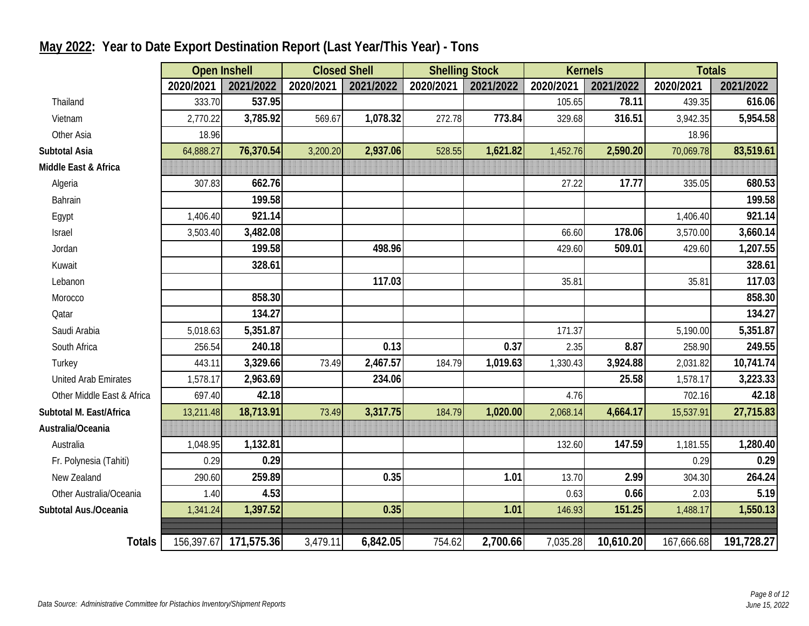|                             |            | <b>Open Inshell</b> | <b>Closed Shell</b> |           | <b>Shelling Stock</b> |           | <b>Kernels</b> |           | <b>Totals</b> |            |
|-----------------------------|------------|---------------------|---------------------|-----------|-----------------------|-----------|----------------|-----------|---------------|------------|
|                             | 2020/2021  | 2021/2022           | 2020/2021           | 2021/2022 | 2020/2021             | 2021/2022 | 2020/2021      | 2021/2022 | 2020/2021     | 2021/2022  |
| Thailand                    | 333.70     | 537.95              |                     |           |                       |           | 105.65         | 78.11     | 439.35        | 616.06     |
| Vietnam                     | 2,770.22   | 3,785.92            | 569.67              | 1,078.32  | 272.78                | 773.84    | 329.68         | 316.51    | 3,942.35      | 5,954.58   |
| Other Asia                  | 18.96      |                     |                     |           |                       |           |                |           | 18.96         |            |
| <b>Subtotal Asia</b>        | 64,888.27  | 76,370.54           | 3,200.20            | 2,937.06  | 528.55                | 1,621.82  | 1,452.76       | 2,590.20  | 70,069.78     | 83,519.61  |
| Middle East & Africa        |            |                     |                     |           |                       |           |                |           |               |            |
| Algeria                     | 307.83     | 662.76              |                     |           |                       |           | 27.22          | 17.77     | 335.05        | 680.53     |
| Bahrain                     |            | 199.58              |                     |           |                       |           |                |           |               | 199.58     |
| Egypt                       | 1,406.40   | 921.14              |                     |           |                       |           |                |           | 1,406.40      | 921.14     |
| Israel                      | 3,503.40   | 3,482.08            |                     |           |                       |           | 66.60          | 178.06    | 3,570.00      | 3,660.14   |
| Jordan                      |            | 199.58              |                     | 498.96    |                       |           | 429.60         | 509.01    | 429.60        | 1,207.55   |
| Kuwait                      |            | 328.61              |                     |           |                       |           |                |           |               | 328.61     |
| Lebanon                     |            |                     |                     | 117.03    |                       |           | 35.81          |           | 35.81         | 117.03     |
| Morocco                     |            | 858.30              |                     |           |                       |           |                |           |               | 858.30     |
| Qatar                       |            | 134.27              |                     |           |                       |           |                |           |               | 134.27     |
| Saudi Arabia                | 5,018.63   | 5,351.87            |                     |           |                       |           | 171.37         |           | 5,190.00      | 5,351.87   |
| South Africa                | 256.54     | 240.18              |                     | 0.13      |                       | 0.37      | 2.35           | 8.87      | 258.90        | 249.55     |
| Turkey                      | 443.11     | 3,329.66            | 73.49               | 2,467.57  | 184.79                | 1,019.63  | 1,330.43       | 3,924.88  | 2,031.82      | 10,741.74  |
| <b>United Arab Emirates</b> | 1,578.17   | 2,963.69            |                     | 234.06    |                       |           |                | 25.58     | 1,578.17      | 3,223.33   |
| Other Middle East & Africa  | 697.40     | 42.18               |                     |           |                       |           | 4.76           |           | 702.16        | 42.18      |
| Subtotal M. East/Africa     | 13,211.48  | 18,713.91           | 73.49               | 3,317.75  | 184.79                | 1,020.00  | 2,068.14       | 4,664.17  | 15,537.91     | 27,715.83  |
| Australia/Oceania           |            |                     |                     |           |                       |           |                |           |               |            |
| Australia                   | 1,048.95   | 1,132.81            |                     |           |                       |           | 132.60         | 147.59    | 1,181.55      | 1,280.40   |
| Fr. Polynesia (Tahiti)      | 0.29       | 0.29                |                     |           |                       |           |                |           | 0.29          | 0.29       |
| New Zealand                 | 290.60     | 259.89              |                     | 0.35      |                       | 1.01      | 13.70          | 2.99      | 304.30        | 264.24     |
| Other Australia/Oceania     | 1.40       | 4.53                |                     |           |                       |           | 0.63           | 0.66      | 2.03          | 5.19       |
| Subtotal Aus./Oceania       | 1,341.24   | 1,397.52            |                     | 0.35      |                       | 1.01      | 146.93         | 151.25    | 1,488.17      | 1,550.13   |
|                             |            |                     |                     |           |                       |           |                |           |               |            |
| <b>Totals</b>               | 156,397.67 | 171,575.36          | 3,479.11            | 6,842.05  | 754.62                | 2,700.66  | 7,035.28       | 10,610.20 | 167,666.68    | 191,728.27 |

### **May 2022: Year to Date Export Destination Report (Last Year/This Year) - Tons**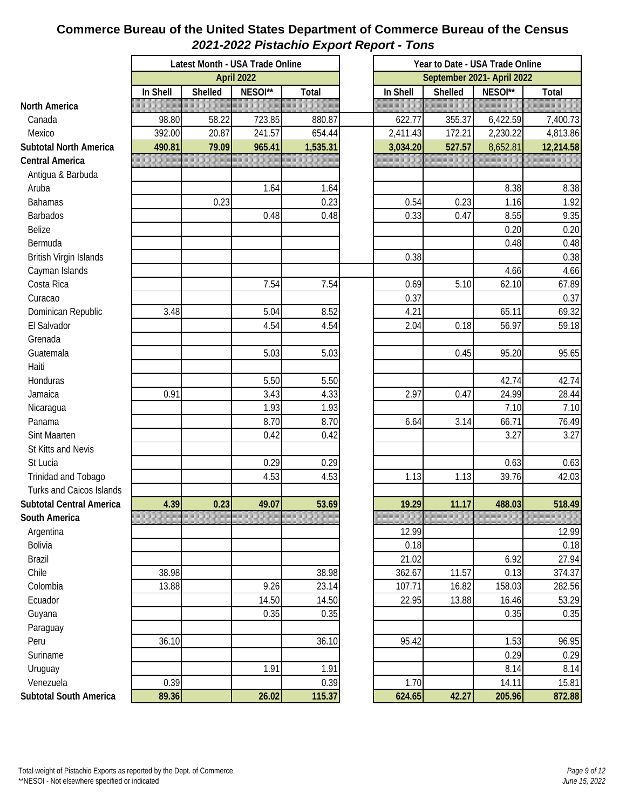#### **Commerce Bureau of the United States Department of Commerce Bureau of the Census** *2021-2022 Pistachio Export Report - Tons*

|                                 |          | Latest Month - USA Trade Online |            |          | Year to Date - USA Trade Online |                            |          |           |  |
|---------------------------------|----------|---------------------------------|------------|----------|---------------------------------|----------------------------|----------|-----------|--|
|                                 |          |                                 | April 2022 |          |                                 | September 2021- April 2022 |          |           |  |
|                                 | In Shell | Shelled                         | NESOI**    | Total    | In Shell                        | Shelled                    | NESOI**  | Total     |  |
| North America                   |          |                                 |            |          |                                 |                            |          |           |  |
| Canada                          | 98.80    | 58.22                           | 723.85     | 880.87   | 622.77                          | 355.37                     | 6,422.59 | 7,400.73  |  |
| Mexico                          | 392.00   | 20.87                           | 241.57     | 654.44   | 2,411.43                        | 172.21                     | 2,230.22 | 4,813.86  |  |
| <b>Subtotal North America</b>   | 490.81   | 79.09                           | 965.41     | 1,535.31 | 3,034.20                        | 527.57                     | 8,652.81 | 12,214.58 |  |
| <b>Central America</b>          |          |                                 |            |          |                                 |                            |          |           |  |
| Antigua & Barbuda               |          |                                 |            |          |                                 |                            |          |           |  |
| Aruba                           |          |                                 | 1.64       | 1.64     |                                 |                            | 8.38     | 8.38      |  |
| <b>Bahamas</b>                  |          | 0.23                            |            | 0.23     | 0.54                            | 0.23                       | 1.16     | 1.92      |  |
| Barbados                        |          |                                 | 0.48       | 0.48     | 0.33                            | 0.47                       | 8.55     | 9.35      |  |
| Belize                          |          |                                 |            |          |                                 |                            | 0.20     | 0.20      |  |
| Bermuda                         |          |                                 |            |          |                                 |                            | 0.48     | 0.48      |  |
| British Virgin Islands          |          |                                 |            |          | 0.38                            |                            |          | 0.38      |  |
| Cayman Islands                  |          |                                 |            |          |                                 |                            | 4.66     | 4.66      |  |
| Costa Rica                      |          |                                 | 7.54       | 7.54     | 0.69                            | 5.10                       | 62.10    | 67.89     |  |
| Curacao                         |          |                                 |            |          | 0.37                            |                            |          | 0.37      |  |
| Dominican Republic              | 3.48     |                                 | 5.04       | 8.52     | 4.21                            |                            | 65.11    | 69.32     |  |
| El Salvador                     |          |                                 | 4.54       | 4.54     | 2.04                            | 0.18                       | 56.97    | 59.18     |  |
| Grenada                         |          |                                 |            |          |                                 |                            |          |           |  |
| Guatemala                       |          |                                 | 5.03       | 5.03     |                                 | 0.45                       | 95.20    | 95.65     |  |
| Haiti                           |          |                                 |            |          |                                 |                            |          |           |  |
| Honduras                        |          |                                 | 5.50       | 5.50     |                                 |                            | 42.74    | 42.74     |  |
| Jamaica                         | 0.91     |                                 | 3.43       | 4.33     | 2.97                            | 0.47                       | 24.99    | 28.44     |  |
| Nicaragua                       |          |                                 | 1.93       | 1.93     |                                 |                            | 7.10     | 7.10      |  |
| Panama                          |          |                                 | 8.70       | 8.70     | 6.64                            | 3.14                       | 66.71    | 76.49     |  |
| Sint Maarten                    |          |                                 | 0.42       | 0.42     |                                 |                            | 3.27     | 3.27      |  |
| St Kitts and Nevis              |          |                                 |            |          |                                 |                            |          |           |  |
| St Lucia                        |          |                                 | 0.29       | 0.29     |                                 |                            | 0.63     | 0.63      |  |
| Trinidad and Tobago             |          |                                 | 4.53       | 4.53     | 1.13                            | 1.13                       | 39.76    | 42.03     |  |
| <b>Turks and Caicos Islands</b> |          |                                 |            |          |                                 |                            |          |           |  |
| <b>Subtotal Central America</b> | 4.39     | 0.23                            | 49.07      | 53.69    | 19.29                           | 11.17                      | 488.03   | 518.49    |  |
| South America                   |          |                                 |            |          |                                 |                            |          |           |  |
| Argentina                       |          |                                 |            |          | 12.99                           |                            |          | 12.99     |  |
| Bolivia                         |          |                                 |            |          | 0.18                            |                            |          | 0.18      |  |
| <b>Brazil</b>                   |          |                                 |            |          | 21.02                           |                            | 6.92     | 27.94     |  |
| Chile                           | 38.98    |                                 |            | 38.98    | 362.67                          | 11.57                      | 0.13     | 374.37    |  |
| Colombia                        | 13.88    |                                 | 9.26       | 23.14    | 107.71                          | 16.82                      | 158.03   | 282.56    |  |
| Ecuador                         |          |                                 | 14.50      | 14.50    | 22.95                           | 13.88                      | 16.46    | 53.29     |  |
| Guyana                          |          |                                 | 0.35       | 0.35     |                                 |                            | 0.35     | 0.35      |  |
| Paraguay                        |          |                                 |            |          |                                 |                            |          |           |  |
| Peru                            | 36.10    |                                 |            | 36.10    | 95.42                           |                            | 1.53     | 96.95     |  |
| Suriname                        |          |                                 |            |          |                                 |                            | 0.29     | 0.29      |  |
| Uruguay                         |          |                                 | 1.91       | 1.91     |                                 |                            | 8.14     | 8.14      |  |
| Venezuela                       | 0.39     |                                 |            | 0.39     | 1.70                            |                            | 14.11    | 15.81     |  |
| <b>Subtotal South America</b>   | 89.36    |                                 | 26.02      | 115.37   | 624.65                          | 42.27                      | 205.96   | 872.88    |  |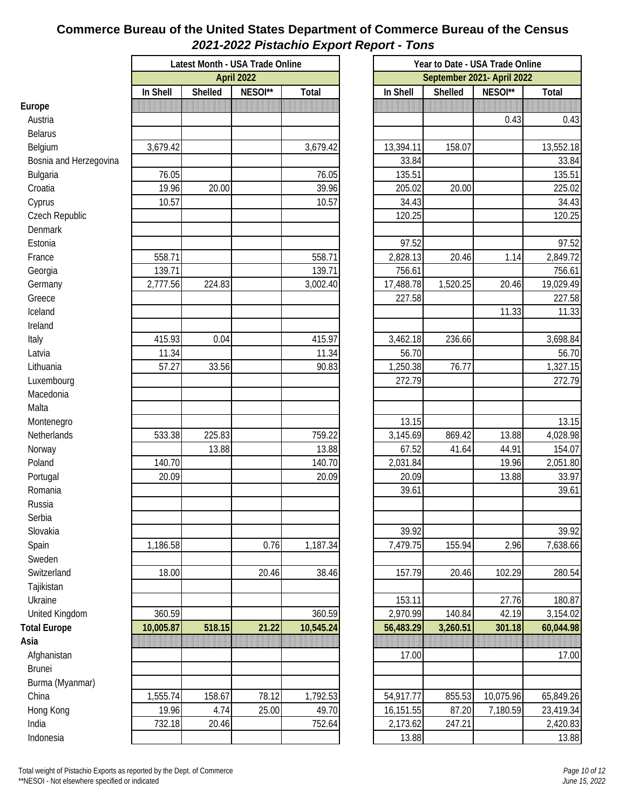#### **Commerce Bureau of the United States Department of Commerce Bureau of the Census** *2021-2022 Pistachio Export Report - Tons*

|                        | Latest Month - USA Trade Online | Year to Date - USA Trade Online |         |           |                            |          |           |           |  |  |
|------------------------|---------------------------------|---------------------------------|---------|-----------|----------------------------|----------|-----------|-----------|--|--|
|                        | <b>April 2022</b>               |                                 |         |           | September 2021- April 2022 |          |           |           |  |  |
|                        | In Shell                        | Shelled                         | NESOI** | Total     | In Shell                   | Shelled  | NESOI**   | Total     |  |  |
| Europe                 |                                 |                                 |         |           |                            |          |           |           |  |  |
| Austria                |                                 |                                 |         |           |                            |          | 0.43      | 0.43      |  |  |
| <b>Belarus</b>         |                                 |                                 |         |           |                            |          |           |           |  |  |
| Belgium                | 3,679.42                        |                                 |         | 3,679.42  | 13,394.11                  | 158.07   |           | 13,552.18 |  |  |
| Bosnia and Herzegovina |                                 |                                 |         |           | 33.84                      |          |           | 33.84     |  |  |
| Bulgaria               | 76.05                           |                                 |         | 76.05     | 135.51                     |          |           | 135.51    |  |  |
| Croatia                | 19.96                           | 20.00                           |         | 39.96     | 205.02                     | 20.00    |           | 225.02    |  |  |
| Cyprus                 | 10.57                           |                                 |         | 10.57     | 34.43                      |          |           | 34.43     |  |  |
| Czech Republic         |                                 |                                 |         |           | 120.25                     |          |           | 120.25    |  |  |
| Denmark                |                                 |                                 |         |           |                            |          |           |           |  |  |
| Estonia                |                                 |                                 |         |           | 97.52                      |          |           | 97.52     |  |  |
| France                 | 558.71                          |                                 |         | 558.71    | 2,828.13                   | 20.46    | 1.14      | 2,849.72  |  |  |
| Georgia                | 139.71                          |                                 |         | 139.71    | 756.61                     |          |           | 756.61    |  |  |
| Germany                | 2,777.56                        | 224.83                          |         | 3,002.40  | 17,488.78                  | 1,520.25 | 20.46     | 19,029.49 |  |  |
| Greece                 |                                 |                                 |         |           | 227.58                     |          |           | 227.58    |  |  |
| Iceland                |                                 |                                 |         |           |                            |          | 11.33     | 11.33     |  |  |
| Ireland                |                                 |                                 |         |           |                            |          |           |           |  |  |
| Italy                  | 415.93                          | 0.04                            |         | 415.97    | 3,462.18                   | 236.66   |           | 3,698.84  |  |  |
| Latvia                 | 11.34                           |                                 |         | 11.34     | 56.70                      |          |           | 56.70     |  |  |
| Lithuania              | 57.27                           | 33.56                           |         | 90.83     | 1,250.38                   | 76.77    |           | 1,327.15  |  |  |
| Luxembourg             |                                 |                                 |         |           | 272.79                     |          |           | 272.79    |  |  |
| Macedonia              |                                 |                                 |         |           |                            |          |           |           |  |  |
| Malta                  |                                 |                                 |         |           |                            |          |           |           |  |  |
| Montenegro             |                                 |                                 |         |           | 13.15                      |          |           | 13.15     |  |  |
| Netherlands            | 533.38                          | 225.83                          |         | 759.22    | 3,145.69                   | 869.42   | 13.88     | 4,028.98  |  |  |
| Norway                 |                                 | 13.88                           |         | 13.88     | 67.52                      | 41.64    | 44.91     | 154.07    |  |  |
| Poland                 | 140.70                          |                                 |         | 140.70    | 2,031.84                   |          | 19.96     | 2,051.80  |  |  |
| Portugal               | 20.09                           |                                 |         | 20.09     | 20.09                      |          | 13.88     | 33.97     |  |  |
| Romania                |                                 |                                 |         |           | 39.61                      |          |           | 39.61     |  |  |
| Russia                 |                                 |                                 |         |           |                            |          |           |           |  |  |
| Serbia                 |                                 |                                 |         |           |                            |          |           |           |  |  |
| Slovakia               |                                 |                                 |         |           | 39.92                      |          |           | 39.92     |  |  |
| Spain                  | 1,186.58                        |                                 | 0.76    | 1,187.34  | 7,479.75                   | 155.94   | 2.96      | 7,638.66  |  |  |
| Sweden                 |                                 |                                 |         |           |                            |          |           |           |  |  |
| Switzerland            | 18.00                           |                                 | 20.46   | 38.46     | 157.79                     | 20.46    | 102.29    | 280.54    |  |  |
| Tajikistan             |                                 |                                 |         |           |                            |          |           |           |  |  |
| Ukraine                |                                 |                                 |         |           | 153.11                     |          | 27.76     | 180.87    |  |  |
| United Kingdom         | 360.59                          |                                 |         | 360.59    | 2,970.99                   | 140.84   | 42.19     | 3,154.02  |  |  |
| <b>Total Europe</b>    | 10,005.87                       | 518.15                          | 21.22   | 10,545.24 | 56,483.29                  | 3,260.51 | 301.18    | 60,044.98 |  |  |
| Asia                   |                                 |                                 |         |           |                            |          |           |           |  |  |
| Afghanistan            |                                 |                                 |         |           | 17.00                      |          |           | 17.00     |  |  |
| Brunei                 |                                 |                                 |         |           |                            |          |           |           |  |  |
| Burma (Myanmar)        |                                 |                                 |         |           |                            |          |           |           |  |  |
| China                  | 1,555.74                        | 158.67                          | 78.12   | 1,792.53  | 54,917.77                  | 855.53   | 10,075.96 | 65,849.26 |  |  |
| Hong Kong              | 19.96                           | 4.74                            | 25.00   | 49.70     | 16,151.55                  | 87.20    | 7,180.59  | 23,419.34 |  |  |
| India                  | 732.18                          | 20.46                           |         | 752.64    | 2,173.62                   | 247.21   |           | 2,420.83  |  |  |
| Indonesia              |                                 |                                 |         |           | 13.88                      |          |           | 13.88     |  |  |
|                        |                                 |                                 |         |           |                            |          |           |           |  |  |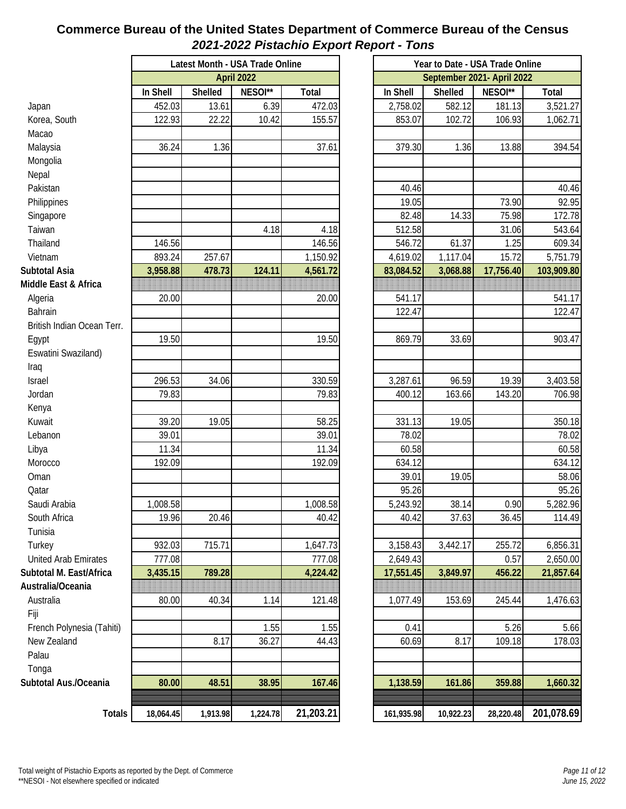#### **Commerce Bureau of the United States Department of Commerce Bureau of the Census** *2021-2022 Pistachio Export Report - Tons*

|                            | Latest Month - USA Trade Online |          |          |           |  |  |
|----------------------------|---------------------------------|----------|----------|-----------|--|--|
|                            | April 2022                      |          |          |           |  |  |
|                            | In Shell                        | Shelled  | NESOI**  | Total     |  |  |
| Japan                      | 452.03                          | 13.61    | 6.39     | 472.03    |  |  |
| Korea, South               | 122.93                          | 22.22    | 10.42    | 155.57    |  |  |
| Macao                      |                                 |          |          |           |  |  |
| Malaysia                   | 36.24                           | 1.36     |          | 37.61     |  |  |
| Mongolia                   |                                 |          |          |           |  |  |
| Nepal                      |                                 |          |          |           |  |  |
| Pakistan                   |                                 |          |          |           |  |  |
| Philippines                |                                 |          |          |           |  |  |
| Singapore                  |                                 |          |          |           |  |  |
| Taiwan                     |                                 |          | 4.18     | 4.18      |  |  |
| Thailand                   | 146.56                          |          |          | 146.56    |  |  |
| Vietnam                    | 893.24                          | 257.67   |          | 1,150.92  |  |  |
| <b>Subtotal Asia</b>       | 3,958.88                        | 478.73   | 124.11   | 4,561.72  |  |  |
| Middle East & Africa       |                                 |          |          |           |  |  |
| Algeria                    | 20.00                           |          |          | 20.00     |  |  |
| Bahrain                    |                                 |          |          |           |  |  |
| British Indian Ocean Terr. |                                 |          |          |           |  |  |
| Egypt                      | 19.50                           |          |          | 19.50     |  |  |
| Eswatini Swaziland)        |                                 |          |          |           |  |  |
| Iraq                       |                                 |          |          |           |  |  |
| Israel                     | 296.53                          | 34.06    |          | 330.59    |  |  |
| Jordan                     | 79.83                           |          |          | 79.83     |  |  |
| Kenya                      |                                 |          |          |           |  |  |
| Kuwait                     | 39.20                           | 19.05    |          | 58.25     |  |  |
| Lebanon                    | 39.01                           |          |          | 39.01     |  |  |
| Libya                      | 11.34                           |          |          | 11.34     |  |  |
| Morocco                    | 192.09                          |          |          | 192.09    |  |  |
| Oman                       |                                 |          |          |           |  |  |
| Qatar                      |                                 |          |          |           |  |  |
| Saudi Arabia               | 1,008.58                        |          |          | 1,008.58  |  |  |
| South Africa               | 19.96                           | 20.46    |          | 40.42     |  |  |
| Tunisia                    |                                 |          |          |           |  |  |
| Turkey                     | 932.03                          | 715.71   |          | 1,647.73  |  |  |
| United Arab Emirates       | 777.08                          |          |          | 777.08    |  |  |
| Subtotal M. East/Africa    | 3,435.15                        | 789.28   |          | 4,224.42  |  |  |
| Australia/Oceania          |                                 |          |          |           |  |  |
| Australia                  | 80.00                           | 40.34    | 1.14     | 121.48    |  |  |
| Fiji                       |                                 |          |          |           |  |  |
| French Polynesia (Tahiti)  |                                 |          | 1.55     | 1.55      |  |  |
| New Zealand                |                                 | 8.17     | 36.27    | 44.43     |  |  |
| Palau                      |                                 |          |          |           |  |  |
| Tonga                      |                                 |          |          |           |  |  |
| Subtotal Aus./Oceania      | 80.00                           | 48.51    | 38.95    | 167.46    |  |  |
|                            |                                 |          |          |           |  |  |
| Totals                     | 18,064.45                       | 1,913.98 | 1,224.78 | 21,203.21 |  |  |

|      | th - USA Trade Online |           | Year to Date - USA Trade Online |                            |           |                |                  |  |  |  |
|------|-----------------------|-----------|---------------------------------|----------------------------|-----------|----------------|------------------|--|--|--|
|      | April 2022            |           |                                 | September 2021- April 2022 |           |                |                  |  |  |  |
| d.   | NESOI**               | Total     |                                 | In Shell                   | Shelled   | NESOI**        | <b>Total</b>     |  |  |  |
| 3.61 | 6.39                  | 472.03    |                                 | 2,758.02                   | 582.12    | 181.13         | 3,521.27         |  |  |  |
| 2.22 | 10.42                 | 155.57    |                                 | 853.07                     | 102.72    | 106.93         | 1,062.71         |  |  |  |
|      |                       |           |                                 |                            |           |                |                  |  |  |  |
| .36  |                       | 37.61     |                                 | 379.30                     | 1.36      | 13.88          | 394.54           |  |  |  |
|      |                       |           |                                 |                            |           |                |                  |  |  |  |
|      |                       |           |                                 |                            |           |                |                  |  |  |  |
|      |                       |           |                                 | 40.46                      |           |                | 40.46            |  |  |  |
|      |                       |           |                                 | 19.05                      |           | 73.90          | 92.95            |  |  |  |
|      | 4.18                  | 4.18      |                                 | 82.48<br>512.58            | 14.33     | 75.98<br>31.06 | 172.78<br>543.64 |  |  |  |
|      |                       | 146.56    |                                 | 546.72                     | 61.37     | 1.25           | 609.34           |  |  |  |
| 1.67 |                       | 1,150.92  |                                 | 4,619.02                   | 1,117.04  | 15.72          | 5,751.79         |  |  |  |
| 3.73 | 124.11                | 4,561.72  |                                 | 83,084.52                  | 3,068.88  | 17,756.40      | 103,909.80       |  |  |  |
|      |                       |           |                                 |                            |           |                |                  |  |  |  |
|      |                       | 20.00     |                                 | 541.17                     |           |                | 541.17           |  |  |  |
|      |                       |           |                                 | 122.47                     |           |                | 122.47           |  |  |  |
|      |                       |           |                                 |                            |           |                |                  |  |  |  |
|      |                       | 19.50     |                                 | 869.79                     | 33.69     |                | 903.47           |  |  |  |
|      |                       |           |                                 |                            |           |                |                  |  |  |  |
|      |                       |           |                                 |                            |           |                |                  |  |  |  |
| 1.06 |                       | 330.59    |                                 | 3,287.61                   | 96.59     | 19.39          | 3,403.58         |  |  |  |
|      |                       | 79.83     |                                 | 400.12                     | 163.66    | 143.20         | 706.98           |  |  |  |
|      |                       |           |                                 |                            |           |                |                  |  |  |  |
| 0.05 |                       | 58.25     |                                 | 331.13                     | 19.05     |                | 350.18           |  |  |  |
|      |                       | 39.01     |                                 | 78.02                      |           |                | 78.02            |  |  |  |
|      |                       | 11.34     |                                 | 60.58                      |           |                | 60.58            |  |  |  |
|      |                       | 192.09    |                                 | 634.12                     |           |                | 634.12           |  |  |  |
|      |                       |           |                                 | 39.01                      | 19.05     |                | 58.06            |  |  |  |
|      |                       |           |                                 | 95.26                      |           |                | 95.26            |  |  |  |
|      |                       | 1,008.58  |                                 | 5,243.92                   | 38.14     | 0.90           | 5,282.96         |  |  |  |
| ).46 |                       | 40.42     |                                 | 40.42                      | 37.63     | 36.45          | 114.49           |  |  |  |
| 5.71 |                       | 1,647.73  |                                 | 3,158.43                   | 3,442.17  | 255.72         | 6,856.31         |  |  |  |
|      |                       | 777.08    |                                 | 2,649.43                   |           | 0.57           | 2,650.00         |  |  |  |
| 28   |                       | 4,224.42  |                                 | 17,551.45                  | 3,849.97  | 456.22         | 21,857.64        |  |  |  |
|      |                       |           |                                 |                            |           |                |                  |  |  |  |
| ).34 | 1.14                  | 121.48    |                                 | 1,077.49                   | 153.69    | 245.44         | 1,476.63         |  |  |  |
|      |                       |           |                                 |                            |           |                |                  |  |  |  |
|      | 1.55                  | 1.55      |                                 | 0.41                       |           | 5.26           | 5.66             |  |  |  |
| 3.17 | 36.27                 | 44.43     |                                 | 60.69                      | 8.17      | 109.18         | 178.03           |  |  |  |
|      |                       |           |                                 |                            |           |                |                  |  |  |  |
|      |                       |           |                                 |                            |           |                |                  |  |  |  |
| 3.51 | 38.95                 | 167.46    |                                 | 1,138.59                   | 161.86    | 359.88         | 1,660.32         |  |  |  |
|      |                       |           |                                 |                            |           |                |                  |  |  |  |
| 3.98 | 1,224.78              | 21,203.21 |                                 | 161,935.98                 | 10,922.23 | 28,220.48      | 201,078.69       |  |  |  |